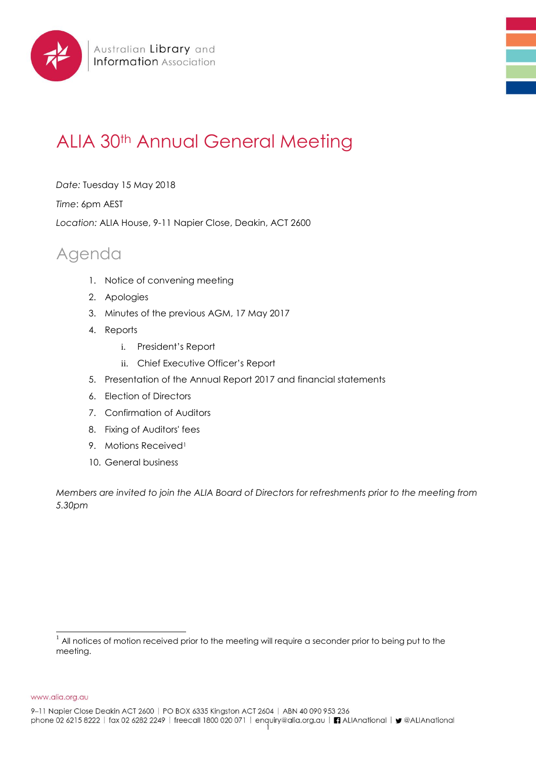

## ALIA 30<sup>th</sup> Annual General Meeting

*Date:* Tuesday 15 May 2018

*Time*: 6pm AEST

*Location:* ALIA House, 9-11 Napier Close, Deakin, ACT 2600

## Agenda

- 1. Notice of convening meeting
- 2. Apologies
- 3. Minutes of the previous AGM, 17 May 2017
- 4. Reports
	- i. President's Report
	- ii. Chief Executive Officer's Report
- 5. Presentation of the Annual Report 2017 and financial statements
- 6. Election of Directors
- 7. Confirmation of Auditors
- 8. Fixing of Auditors' fees
- 9. Motions Received<sup>1</sup>
- 10. General business

*Members are invited to join the ALIA Board of Directors for refreshments prior to the meeting from 5.30pm*

www.alia.org.au

l  $^1$  All notices of motion received prior to the meeting will require a seconder prior to being put to the meeting.